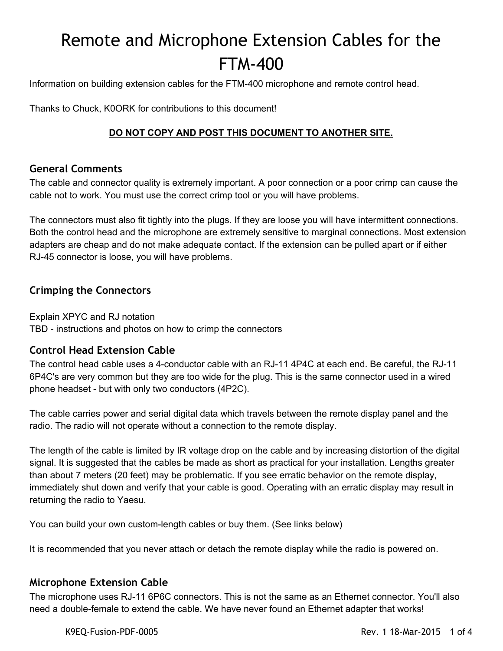# Remote and Microphone Extension Cables for the FTM-400

Information on building extension cables for the FTM-400 microphone and remote control head.

Thanks to Chuck, K0ORK for contributions to this document!

#### **DO NOT COPY AND POST THIS DOCUMENT TO ANOTHER SITE.**

#### **General Comments**

The cable and connector quality is extremely important. A poor connection or a poor crimp can cause the cable not to work. You must use the correct crimp tool or you will have problems.

The connectors must also fit tightly into the plugs. If they are loose you will have intermittent connections. Both the control head and the microphone are extremely sensitive to marginal connections. Most extension adapters are cheap and do not make adequate contact. If the extension can be pulled apart or if either RJ45 connector is loose, you will have problems.

## **Crimping the Connectors**

Explain XPYC and RJ notation TBD - instructions and photos on how to crimp the connectors

## **Control Head Extension Cable**

The control head cable uses a 4-conductor cable with an RJ-11 4P4C at each end. Be careful, the RJ-11 6P4C's are very common but they are too wide for the plug. This is the same connector used in a wired phone headset - but with only two conductors (4P2C).

The cable carries power and serial digital data which travels between the remote display panel and the radio. The radio will not operate without a connection to the remote display.

The length of the cable is limited by IR voltage drop on the cable and by increasing distortion of the digital signal. It is suggested that the cables be made as short as practical for your installation. Lengths greater than about 7 meters (20 feet) may be problematic. If you see erratic behavior on the remote display, immediately shut down and verify that your cable is good. Operating with an erratic display may result in returning the radio to Yaesu.

You can build your own custom-length cables or buy them. (See links below)

It is recommended that you never attach or detach the remote display while the radio is powered on.

#### **Microphone Extension Cable**

The microphone uses RJ-11 6P6C connectors. This is not the same as an Ethernet connector. You'll also need a double-female to extend the cable. We have never found an Ethernet adapter that works!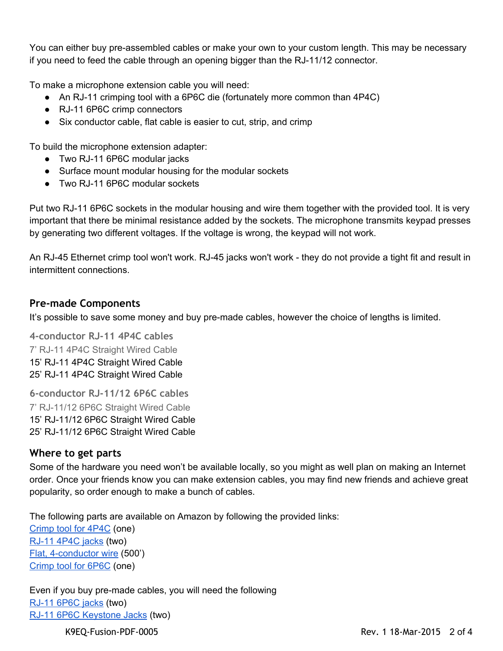You can either buy pre-assembled cables or make your own to your custom length. This may be necessary if you need to feed the cable through an opening bigger than the RJ-11/12 connector.

To make a microphone extension cable you will need:

- An RJ-11 crimping tool with a 6P6C die (fortunately more common than 4P4C)
- RJ-11 6P6C crimp connectors
- Six conductor cable, flat cable is easier to cut, strip, and crimp

To build the microphone extension adapter:

- Two RJ-11 6P6C modular jacks
- Surface mount modular housing for the modular sockets
- Two RJ-11 6P6C modular sockets

Put two RJ-11 6P6C sockets in the modular housing and wire them together with the provided tool. It is very important that there be minimal resistance added by the sockets. The microphone transmits keypad presses by generating two different voltages. If the voltage is wrong, the keypad will not work.

An RJ-45 Ethernet crimp tool won't work. RJ-45 jacks won't work - they do not provide a tight fit and result in intermittent connections.

#### **Pre-made Components**

It's possible to save some money and buy pre-made cables, however the choice of lengths is limited.

**4-conductor RJ-11 4P4C cables** 7' RJ-11 4P4C Straight Wired Cable 15' RJ-11 4P4C Straight Wired Cable 25' RJ-11 4P4C Straight Wired Cable

**6-conductor RJ-11/12 6P6C cables** 7' RJ-11/12 6P6C Straight Wired Cable 15' RJ-11/12 6P6C Straight Wired Cable 25' RJ-11/12 6P6C Straight Wired Cable

#### **Where to get parts**

Some of the hardware you need won't be available locally, so you might as well plan on making an Internet order. Once your friends know you can make extension cables, you may find new friends and achieve great popularity, so order enough to make a bunch of cables.

The following parts are available on Amazon by following the provided links:

[Crimp](http://www.amazon.com/gp/product/B00BE0KSWU/ref=as_li_qf_sp_asin_il_tl?ie=UTF8&camp=1789&creative=9325&creativeASIN=B00BE0KSWU&linkCode=as2&tag=hamopercom-20&linkId=QJQV6WN5ZURUN5YK) tool for 4P4C (one) RJ-11 4P4C jacks (two) Flat, 4-conductor wire (500') [Crimp](http://www.amazon.com/gp/product/B00OLJK9QQ/ref=as_li_qf_sp_asin_il_tl?ie=UTF8&camp=1789&creative=9325&creativeASIN=B00OLJK9QQ&linkCode=as2&tag=hamopercom-20&linkId=LOZD4FKTJQCJTWMD) tool for 6P6C (one)

Even if you buy pre-made cables, you will need the following RJ-11 6P6C jacks (two) RJ-11 6P6C [Keystone](http://www.amazon.com/gp/product/B005E2Y6Q8/ref=as_li_qf_sp_asin_il_tl?ie=UTF8&camp=1789&creative=9325&creativeASIN=B005E2Y6Q8&linkCode=as2&tag=hamopercom-20&linkId=QGJZT6DL4B76PT3F) Jacks (two)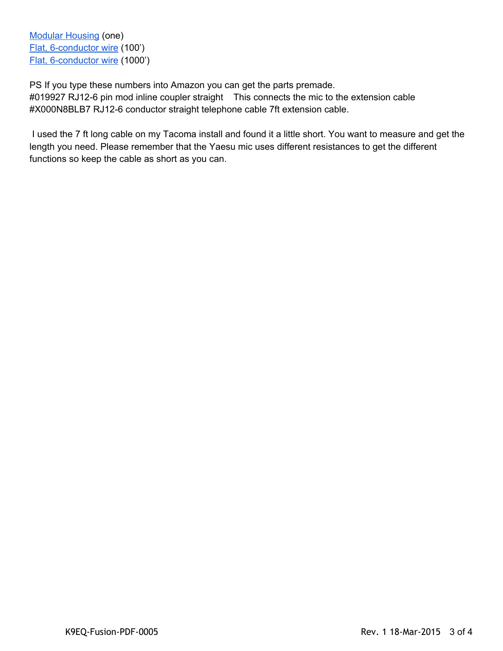Modular [Housing](http://www.amazon.com/gp/product/B0069MDB9U/ref=as_li_qf_sp_asin_il_tl?ie=UTF8&camp=1789&creative=9325&creativeASIN=B0069MDB9U&linkCode=as2&tag=hamopercom-20&linkId=QIOPBEFQETA42BSU) (one) Flat, 6-conductor wire (100') Flat, 6-conductor wire (1000')

PS If you type these numbers into Amazon you can get the parts premade. #019927 RJ12-6 pin mod inline coupler straight This connects the mic to the extension cable #X000N8BLB7 RJ12-6 conductor straight telephone cable 7ft extension cable.

I used the 7 ft long cable on my Tacoma install and found it a little short. You want to measure and get the length you need. Please remember that the Yaesu mic uses different resistances to get the different functions so keep the cable as short as you can.